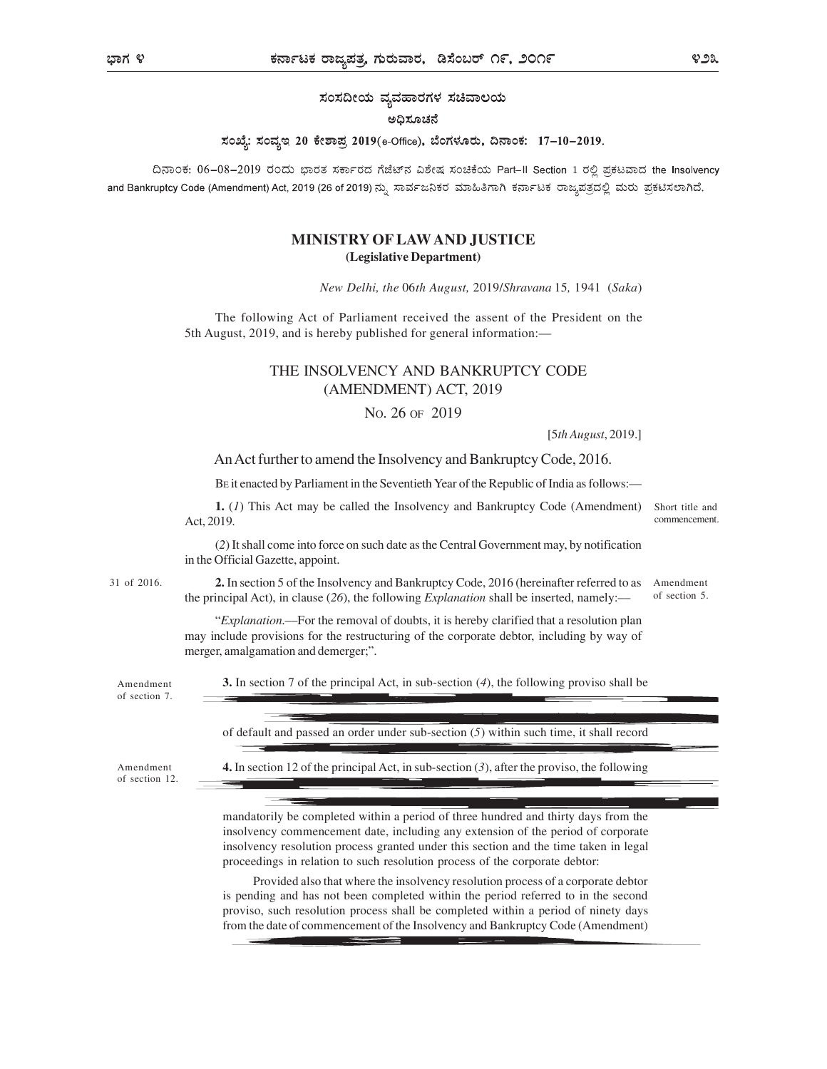ಸಂಸದೀಯ ವ್ಯವಹಾರಗಳ ಸಚಿವಾಲಯ

#### ಅದಿಸೂಚನೆ

#### ಸಂಖ್ಯೆ: ಸಂವ್ಯಇ 20 ಕೇಶಾಪ್ರ 2019(e-Office), ಬೆಂಗಳೂರು, ದಿನಾಂಕ: 17-10-2019.

ದಿನಾಂಕ: 06-08-2019 ರಂದು ಭಾರತ ಸರ್ಕಾರದ ಗೆಜೆಟ್ ವಿಶೇಷ ಸಂಚಿಕೆಯ Part-II Section 1 ರಲ್ಲಿ ಪ್ರಕಟವಾದ the Insolvency and Bankruptcy Code (Amendment) Act, 2019 (26 of 2019) ನ್ನು ಸಾರ್ವಜನಿಕರ ಮಾಹಿತಿಗಾಗಿ ಕರ್ನಾಟಕ ರಾಜ್ಯಪತ್ರದಲ್ಲಿ ಮರು ಪ್ರಕಟಿಸಲಾಗಿದೆ.

## MINISTRY OF LAW AND JUSTICE (Legislative Department)

New Delhi, the 06th August, 2019/Shravana 15, 1941 (Saka)

The following Act of Parliament received the assent of the President on the 5th August, 2019, and is hereby published for general information:—

## THE INSOLVENCY AND BANKRUPTCY CODE (AMENDMENT) ACT, 2019

NO. 26 OF 2019

[5th August, 2019.]

has not as not as the existence of the existence of the existence of the existence of the existence of the existence of the existence of the existence of the existence of the existence of the existence of the existence of

An Act further to amend the Insolvency and Bankruptcy Code, 2016.

BE it enacted by Parliament in the Seventieth Year of the Republic of India as follows:—

1. (1) This Act may be called the Insolvency and Bankruptcy Code (Amendment) Act, 2019. Short title and commencement.

(2) It shall come into force on such date as the Central Government may, by notification in the Official Gazette, appoint.

2. In section 5 of the Insolvency and Bankruptcy Code, 2016 (hereinafter referred to as 31 of 2016. the principal Act), in clause (26), the following *Explanation* shall be inserted, namely:-Amendment of section 5.

> "Explanation.––For the removal of doubts, it is hereby clarified that a resolution plan may include provisions for the restructuring of the corporate debtor, including by way of merger, amalgamation and demerger;".

Amendment 3. In section 7 of the principal Act, in sub-section (4), the following proviso shall be

of section 7.

of default and passed an order under sub-section (5) within such time, it shall record

of section 12.

Amendment 4. In section 12 of the principal Act, in sub-section (3), after the proviso, the following

mandatorily be completed within a period of three hundred and thirty days from the insolvency commencement date, including any extension of the period of corporate insolvency resolution process granted under this section and the time taken in legal proceedings in relation to such resolution process of the corporate debtor:

Provided also that where the insolvency resolution process of a corporate debtor is pending and has not been completed within the period referred to in the second proviso, such resolution process shall be completed within a period of ninety days from the date of commencement of the Insolvency and Bankruptcy Code (Amendment)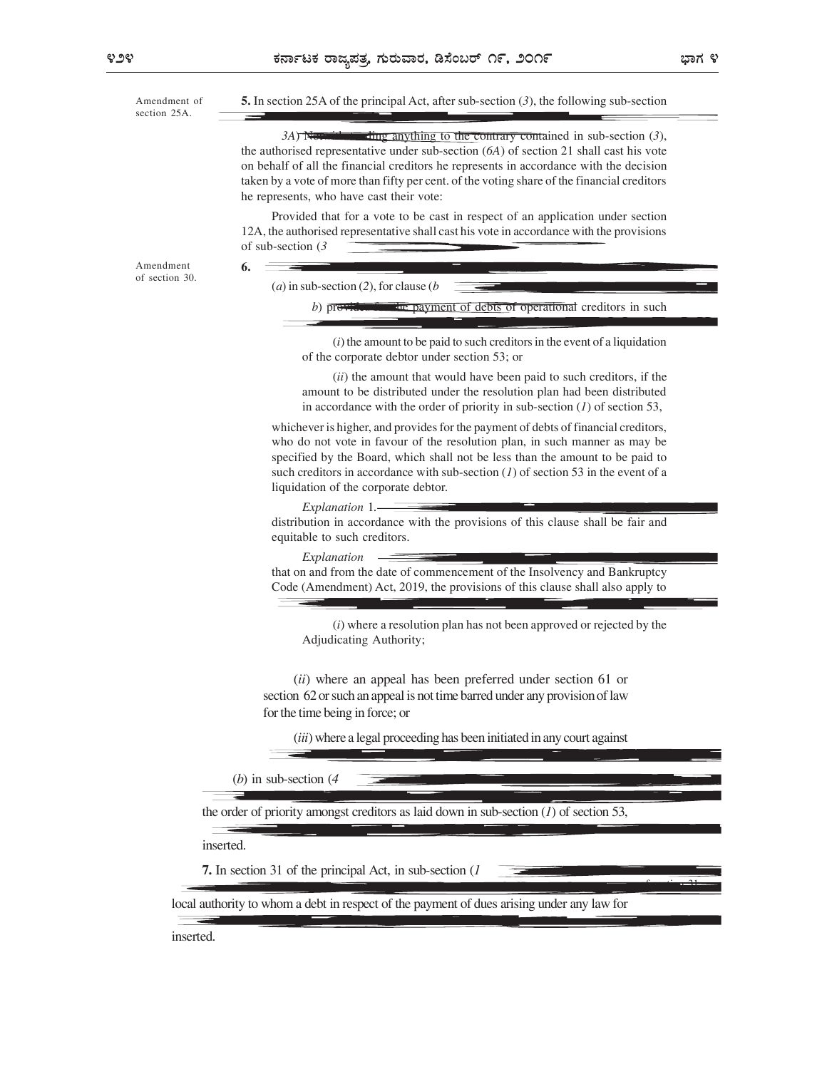Amendment of  $\qquad 5.$  In section 25A of the principal Act, after sub-section (3), the following sub-section  $3A$ ) Notwithstanding anything to the contrary contained in sub-section  $(3)$ , the authorised representative under sub-section (6A) of section 21 shall cast his vote on behalf of all the financial creditors he represents in accordance with the decision taken by a vote of more than fifty per cent. of the voting share of the financial creditors he represents, who have cast their vote: Provided that for a vote to be cast in respect of an application under section 12A, the authorised representative shall cast his vote in accordance with the provisions of sub-section (3 6. (a) in sub-section (2), for clause ( $b$ b) provides for the payment of debts of operational creditors in such  $(i)$  the amount to be paid to such creditors in the event of a liquidation of the corporate debtor under section 53; or  $(ii)$  the amount that would have been paid to such creditors, if the amount to be distributed under the resolution plan had been distributed in accordance with the order of priority in sub-section  $(I)$  of section 53, whichever is higher, and provides for the payment of debts of financial creditors, who do not vote in favour of the resolution plan, in such manner as may be specified by the Board, which shall not be less than the amount to be paid to such creditors in accordance with sub-section  $(1)$  of section 53 in the event of a liquidation of the corporate debtor. Explanation 1. distribution in accordance with the provisions of this clause shall be fair and equitable to such creditors. Explanation that on and from the date of commencement of the Insolvency and Bankruptcy Code (Amendment) Act, 2019, the provisions of this clause shall also apply to  $(i)$  where a resolution plan has not been approved or rejected by the Adjudicating Authority; section 25A. Amendment **6.** of section 30. (ii) where an appeal has been preferred under section 61 or section 62 or such an appeal is not time barred under any provision of law for the time being in force; or (iii) where a legal proceeding has been initiated in any court against (b) in sub-section (4 the order of priority amongst creditors as laid down in sub-section  $(1)$  of section 53, inserted. 7. In section 31 of the principal Act, in sub-section (1 local authority to whom a debt in respect of the payment of dues arising under any law for Amendment of section 31.

inserted.